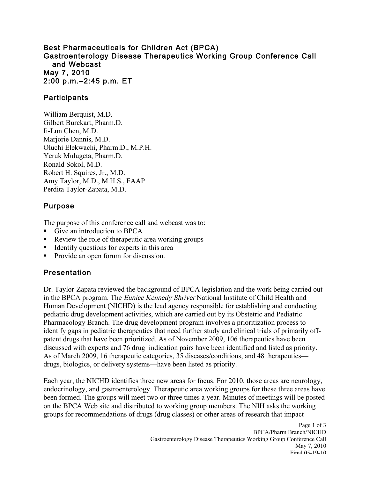#### Best Pharmaceuticals for Children Act (BPCA) Gastroenterology Disease Therapeutics Working Group Conference Call and Webcast May 7, 2010 2:00 p.m.–2:45 p.m. ET

#### Participants

William Berquist, M.D. Gilbert Burckart, Pharm.D. Ii-Lun Chen, M.D. Marjorie Dannis, M.D. Oluchi Elekwachi, Pharm.D., M.P.H. Yeruk Mulugeta, Pharm.D. Ronald Sokol, M.D. Robert H. Squires, Jr., M.D. Amy Taylor, M.D., M.H.S., FAAP Perdita Taylor-Zapata, M.D.

### Purpose

The purpose of this conference call and webcast was to:

- Give an introduction to BPCA
- Review the role of therapeutic area working groups
- Identify questions for experts in this area
- Provide an open forum for discussion.

# Presentation

Dr. Taylor-Zapata reviewed the background of BPCA legislation and the work being carried out in the BPCA program. The Eunice Kennedy Shriver National Institute of Child Health and Human Development (NICHD) is the lead agency responsible for establishing and conducting pediatric drug development activities, which are carried out by its Obstetric and Pediatric Pharmacology Branch. The drug development program involves a prioritization process to identify gaps in pediatric therapeutics that need further study and clinical trials of primarily offpatent drugs that have been prioritized. As of November 2009, 106 therapeutics have been discussed with experts and 76 drug–indication pairs have been identified and listed as priority. As of March 2009, 16 therapeutic categories, 35 diseases/conditions, and 48 therapeutics drugs, biologics, or delivery systems—have been listed as priority.

Each year, the NICHD identifies three new areas for focus. For 2010, those areas are neurology, endocrinology, and gastroenterology. Therapeutic area working groups for these three areas have been formed. The groups will meet two or three times a year. Minutes of meetings will be posted on the BPCA Web site and distributed to working group members. The NIH asks the working groups for recommendations of drugs (drug classes) or other areas of research that impact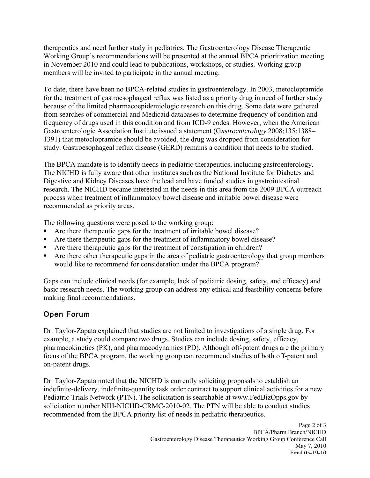therapeutics and need further study in pediatrics. The Gastroenterology Disease Therapeutic Working Group's recommendations will be presented at the annual BPCA prioritization meeting in November 2010 and could lead to publications, workshops, or studies. Working group members will be invited to participate in the annual meeting.

To date, there have been no BPCA-related studies in gastroenterology. In 2003, metoclopramide for the treatment of gastroesophageal reflux was listed as a priority drug in need of further study because of the limited pharmacoepidemiologic research on this drug. Some data were gathered from searches of commercial and Medicaid databases to determine frequency of condition and frequency of drugs used in this condition and from ICD-9 codes. However, when the American Gastroenterologic Association Institute issued a statement (Gastroenterology 2008;135:1388– 1391) that metoclopramide should be avoided, the drug was dropped from consideration for study. Gastroesophageal reflux disease (GERD) remains a condition that needs to be studied.

 recommended as priority areas. The BPCA mandate is to identify needs in pediatric therapeutics, including gastroenterology. The NICHD is fully aware that other institutes such as the National Institute for Diabetes and Digestive and Kidney Diseases have the lead and have funded studies in gastrointestinal research. The NICHD became interested in the needs in this area from the 2009 BPCA outreach process when treatment of inflammatory bowel disease and irritable bowel disease were

The following questions were posed to the working group:

- Are there therapeutic gaps for the treatment of irritable bowel disease?
- Are there therapeutic gaps for the treatment of inflammatory bowel disease?
- Are there therapeutic gaps for the treatment of constipation in children?
- Are there other therapeutic gaps in the area of pediatric gastroenterology that group members would like to recommend for consideration under the BPCA program?

Gaps can include clinical needs (for example, lack of pediatric dosing, safety, and efficacy) and basic research needs. The working group can address any ethical and feasibility concerns before making final recommendations.

# Open Forum

Dr. Taylor-Zapata explained that studies are not limited to investigations of a single drug. For example, a study could compare two drugs. Studies can include dosing, safety, efficacy, pharmacokinetics (PK), and pharmacodynamics (PD). Although off-patent drugs are the primary focus of the BPCA program, the working group can recommend studies of both off-patent and on-patent drugs.

Dr. Taylor-Zapata noted that the NICHD is currently soliciting proposals to establish an indefinite-delivery, indefinite-quantity task order contract to support clinical activities for a new Pediatric Trials Network (PTN). The solicitation is searchable at www.FedBizOpps.gov by solicitation number NIH-NICHD-CRMC-2010-02. The PTN will be able to conduct studies recommended from the BPCA priority list of needs in pediatric therapeutics.